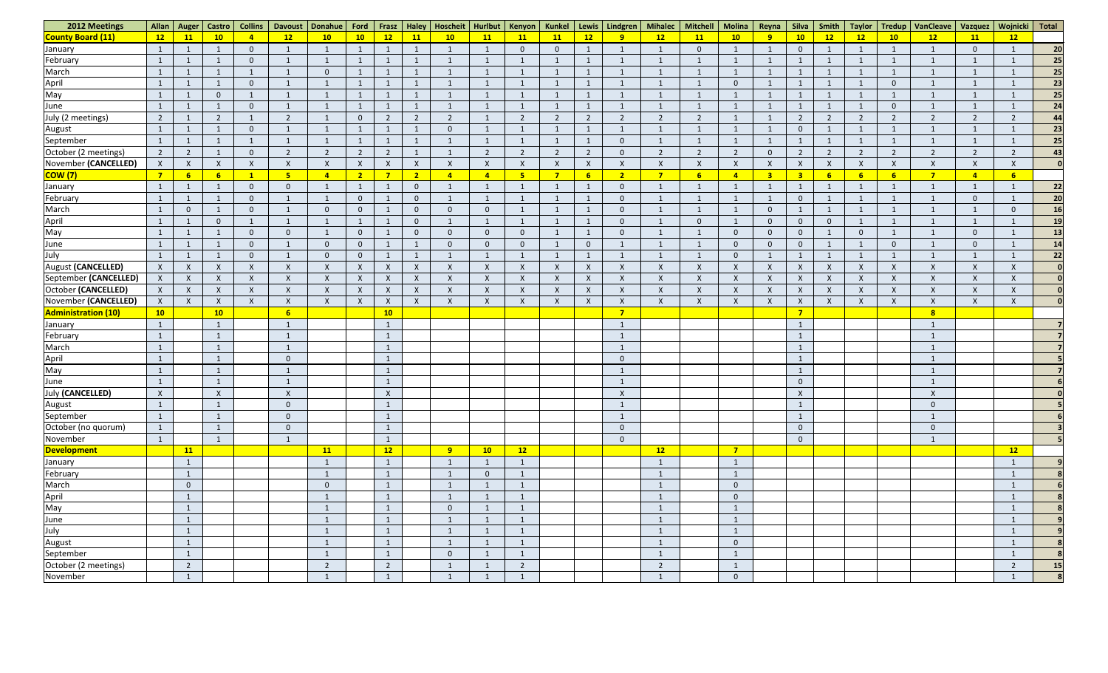| 2012 Meetings                                            | Allan            | Auger                        | Castro                    | <b>Collins</b>            | <b>Davoust</b>  | Donahue                        | Ford             | Frasz                        | <b>Haley</b>              | Hoscheit       | Hurlbut   Kenyon          |                           | Kunkel         |                           | Lewis   Lindgren          | <b>Mihalec</b>                 | <b>Mitchell</b>           | Molina                           | Reyna                     | <b>Silva</b>              | Smith                     | <b>Taylor</b> | Tredup                    | <b>VanCleave</b>          | Vazquez        | Wojnicki             | <b>Total</b> |
|----------------------------------------------------------|------------------|------------------------------|---------------------------|---------------------------|-----------------|--------------------------------|------------------|------------------------------|---------------------------|----------------|---------------------------|---------------------------|----------------|---------------------------|---------------------------|--------------------------------|---------------------------|----------------------------------|---------------------------|---------------------------|---------------------------|---------------|---------------------------|---------------------------|----------------|----------------------|--------------|
| <b>County Board (11)</b>                                 | 12               | 11                           | 10 <sub>1</sub>           | $\overline{4}$            | 12              | 10                             | 10 <sub>1</sub>  | 12                           | 11                        | 10             | 11                        | <b>11</b>                 | 11             | 12                        | 9                         | 12                             | <b>11</b>                 | 10                               | 9                         | 10 <sub>1</sub>           | 12                        | 12            | 10                        | 12                        | 11             | 12                   |              |
| January                                                  |                  |                              |                           | $\overline{0}$            |                 |                                |                  |                              | -1                        |                |                           | $\overline{0}$            | $\overline{0}$ |                           |                           | $\mathbf{1}$                   | $\Omega$                  |                                  | $\mathbf{1}$              | $\overline{0}$            |                           |               |                           |                           | $\overline{0}$ |                      | 20           |
| February                                                 | $\overline{1}$   | $\overline{1}$               | -1                        | $\overline{0}$            |                 |                                | 1                | $\mathbf{1}$                 | $\mathbf{1}$              |                |                           |                           |                | -1                        |                           | $\overline{1}$                 |                           |                                  | $\mathbf{1}$              | $\mathbf{1}$              |                           |               | $\mathbf{1}$              |                           | $\mathbf{1}$   |                      | 25           |
| March                                                    |                  |                              |                           | $\mathbf 1$               |                 |                                |                  |                              |                           |                |                           |                           |                |                           |                           |                                |                           |                                  |                           | -1                        |                           |               | $\mathbf{1}$              |                           |                |                      | 25           |
| April<br>May                                             |                  |                              |                           | $\overline{0}$            |                 |                                |                  |                              | $\overline{1}$            |                |                           |                           |                |                           |                           |                                |                           | $\overline{0}$                   |                           | $\mathbf{1}$              |                           |               | $\theta$                  |                           |                |                      | 23           |
|                                                          |                  |                              | $\Omega$                  | $\mathbf{1}$              |                 |                                |                  |                              |                           |                |                           |                           |                |                           |                           |                                |                           |                                  |                           |                           |                           |               |                           |                           |                |                      | 25           |
| June                                                     | -1               | - 1                          |                           | $\overline{0}$            |                 |                                | 1                |                              | $\mathbf{1}$              |                |                           |                           |                | $\overline{1}$            |                           | $\mathbf{1}$                   |                           |                                  | $\mathbf{1}$              | $\mathbf{1}$              |                           |               | $\theta$                  |                           |                |                      | 24           |
| July (2 meetings)                                        | $\overline{2}$   |                              | ົາ                        | $\mathbf{1}$              |                 |                                | $\Omega$         | $\overline{2}$               | $\overline{2}$            | ി              |                           | $\overline{2}$            | $\overline{2}$ | $\overline{2}$            | 2                         | $\overline{2}$                 | 2                         |                                  |                           | $\overline{2}$            | -2                        | <u>ຳ</u>      | $\overline{2}$            | $\overline{2}$            | $\overline{2}$ |                      | 44           |
| August                                                   | $\mathbf{1}$     |                              |                           | $\overline{0}$            |                 |                                |                  |                              | -1                        |                |                           |                           |                |                           |                           |                                |                           |                                  |                           | $\overline{0}$            |                           |               |                           |                           |                |                      | 23           |
| September                                                | $\mathbf{1}$     |                              |                           | $\mathbf 1$               |                 |                                |                  |                              | -1                        |                |                           |                           |                |                           | $\Omega$                  | $\mathbf 1$                    |                           |                                  | $\mathbf 1$               |                           |                           |               | -1                        |                           | $\mathbf{1}$   |                      | 25           |
| October (2 meetings)                                     | $\overline{2}$   | $\overline{2}$               |                           | $\overline{0}$            | ຳ               | $\overline{2}$                 | $\overline{2}$   | $\overline{2}$               | $\mathbf{1}$              |                | $\overline{2}$            | $\overline{2}$            | $\overline{2}$ | $\overline{2}$            | $\Omega$                  | $\overline{2}$                 | $\overline{2}$            | $\overline{2}$                   | $\overline{0}$            | $\overline{2}$            | $\overline{2}$            | $\mathcal{D}$ | $\overline{2}$            | $\overline{2}$            | $\overline{2}$ | $\mathcal{D}$        | 43           |
| November (CANCELLED)                                     | $\mathsf{X}$     | $\mathsf{X}$                 | $\times$                  | $\mathsf{X}$              |                 | $\times$                       | $\mathsf{X}$     | $\mathsf{X}$                 | $\mathsf{X}$              | X              | $\mathsf{X}$              | $\mathsf{X}$              | $\mathsf{X}$   | $\mathsf{X}$              | $\boldsymbol{\mathsf{X}}$ | $\mathsf{X}$                   | X                         | X                                | $\mathsf{X}$              | $\mathsf{X}$              | $\boldsymbol{X}$          | X             | $\mathsf{X}$              | $\boldsymbol{\mathsf{X}}$ | $\mathsf{X}$   | X                    |              |
| <mark>COW (7)</mark>                                     | $\overline{7}$   | 6                            | 6                         | $\mathbf{1}$              | 5 <sub>o</sub>  | $\overline{4}$                 | $\overline{2}$   | $\overline{7}$               | 2 <sub>2</sub>            | $\overline{4}$ | $\overline{4}$            | 5 <sub>5</sub>            | -7             | $6\overline{6}$           | $\overline{2}$            | $\overline{7}$                 | 6 <sup>1</sup>            | $\overline{a}$                   | $\overline{\mathbf{3}}$   | $\overline{\mathbf{3}}$   | $6\overline{6}$           | 6             | 6 <sup>1</sup>            | $\overline{7}$            | $\sqrt{4}$     | 6 <sup>1</sup>       |              |
| January                                                  | $\mathbf{1}$     |                              |                           | $\overline{0}$            |                 |                                | 1                | $\mathbf{1}$                 | $\overline{0}$            |                |                           |                           |                | $\overline{1}$            | $\overline{0}$            | $\overline{1}$                 |                           |                                  | 1                         | $\mathbf{1}$              |                           |               | $\mathbf{1}$              |                           | $\mathbf{1}$   |                      | 22           |
| February                                                 |                  | $\overline{1}$               |                           | $\overline{0}$            |                 |                                | $\overline{0}$   | $\mathbf{1}$                 | $\overline{0}$            |                |                           |                           |                |                           | $\mathbf{0}$              | $\overline{1}$                 |                           |                                  | 1                         | $\overline{0}$            |                           |               | $\mathbf{1}$              |                           | $\overline{0}$ |                      | 20           |
| March                                                    |                  | $\overline{0}$               |                           | $\overline{0}$            |                 |                                | $\overline{0}$   | $\mathbf{1}$                 | $\overline{0}$            | $\Omega$       |                           |                           |                |                           | $\overline{0}$            | -1                             |                           |                                  | $\overline{0}$            | $\mathbf{1}$              |                           |               | -1                        |                           | $\mathbf{1}$   | $\Omega$             | <b>16</b>    |
| April<br>May                                             |                  |                              | $\Omega$                  | 1                         |                 |                                | $\mathbf{1}$     | $\mathbf{1}$                 | $\overline{0}$            |                |                           |                           |                |                           | $\overline{0}$            |                                | $\Omega$                  |                                  | $\overline{0}$            | $\overline{0}$            | $\mathbf{0}$              |               | -1                        |                           | $\mathbf{1}$   |                      | 19           |
|                                                          |                  |                              |                           | $\overline{0}$            |                 |                                | $\mathbf{0}$     |                              | $\overline{0}$            |                |                           | $\mathbf{0}$              |                |                           | $\Omega$                  |                                |                           | $\Omega$                         | $\overline{0}$            | $\overline{0}$            |                           | $\Omega$      | -1                        |                           | $\mathbf{0}$   |                      | 13           |
| June<br>July                                             | $\mathbf{1}$     | - 1                          |                           | $\overline{0}$            |                 | $\Omega$                       | $\overline{0}$   | $\mathbf{1}$                 | $\mathbf{1}$              |                | $\Omega$                  | $\overline{0}$            |                | $\Omega$                  |                           |                                |                           | $\overline{0}$                   | $\overline{0}$            | $\overline{0}$            |                           |               | $\theta$                  |                           | $\overline{0}$ |                      | 14           |
|                                                          |                  |                              |                           | $\overline{0}$            |                 |                                | $\overline{0}$   | 1                            | $\mathbf{1}$              |                |                           |                           |                | $\overline{1}$            |                           |                                |                           | $\Omega$                         | $\overline{1}$            | $\mathbf{1}$              |                           |               | -1                        |                           | $\mathbf 1$    |                      | 22           |
| August (CANCELLED)                                       | $\mathsf{X}$     | $\mathsf{X}$                 |                           | $\boldsymbol{\mathsf{X}}$ |                 | X                              | $\mathsf{X}$     | $\mathsf{X}$                 | $\boldsymbol{\mathsf{X}}$ |                | $\lambda$                 | $\boldsymbol{\mathsf{X}}$ | $\mathsf{X}$   | $\mathsf{X}$              |                           | $\boldsymbol{\mathsf{X}}$      | $\boldsymbol{\mathsf{X}}$ | X                                | $\mathsf{X}$              | $\boldsymbol{X}$          | $\boldsymbol{\mathsf{X}}$ |               | $\boldsymbol{\mathsf{X}}$ | $\times$                  | $\mathsf{X}$   | X                    |              |
| September (CANCELLED)                                    | $\boldsymbol{X}$ | $\mathsf{X}$                 |                           | $\boldsymbol{\mathsf{X}}$ |                 |                                | $\boldsymbol{X}$ | $\boldsymbol{\mathsf{X}}$    | $\boldsymbol{\mathsf{X}}$ |                | $\boldsymbol{\mathsf{x}}$ | $\boldsymbol{\mathsf{X}}$ | $\times$       | $\boldsymbol{\mathsf{X}}$ | $\boldsymbol{\mathsf{X}}$ | $\boldsymbol{\mathsf{X}}$      | X                         | $\boldsymbol{\mathsf{x}}$        | $\boldsymbol{\mathsf{X}}$ | $\mathsf{X}$              | $\lambda$                 |               | $\mathsf{X}$              | $\boldsymbol{\mathsf{X}}$ | $\mathsf{X}$   | $\boldsymbol{X}$     |              |
| October (CANCELLED)                                      | $\mathsf{X}$     | $\mathsf{X}$                 | $\boldsymbol{\mathsf{X}}$ | $\boldsymbol{\mathsf{X}}$ | Χ               |                                | $\mathsf{X}$     | $\boldsymbol{X}$             | $\mathsf{X}$              |                |                           | $\mathsf{X}$              | $\times$       | $\boldsymbol{X}$          | $\boldsymbol{\mathsf{X}}$ | $\boldsymbol{\mathsf{X}}$      | $\mathsf{X}$              | $\boldsymbol{\mathsf{x}}$        | $\mathsf{X}$              | $\boldsymbol{X}$          | $\boldsymbol{\mathsf{X}}$ |               | $\mathsf{X}$              | $\boldsymbol{\mathsf{X}}$ | $\mathsf{X}$   | $\boldsymbol{X}$     |              |
| November (CANCELLED)                                     | $\mathsf{X}$     | $\mathsf{X}$                 | $\boldsymbol{\mathsf{X}}$ | $\boldsymbol{\mathsf{X}}$ |                 |                                | $\boldsymbol{X}$ | $\boldsymbol{\mathsf{X}}$    | $\boldsymbol{\mathsf{X}}$ |                | $\boldsymbol{\mathsf{x}}$ | $\boldsymbol{\mathsf{X}}$ | X              |                           | $\boldsymbol{\mathsf{X}}$ | $\boldsymbol{\mathsf{X}}$      | X                         |                                  | $\boldsymbol{\mathsf{X}}$ | $\mathsf{X}$              | $\boldsymbol{X}$          |               | $\boldsymbol{\mathsf{X}}$ | $\boldsymbol{\mathsf{X}}$ | $\mathsf{X}$   | $\boldsymbol{X}$     |              |
| <b>Administration (10)</b>                               | 10               |                              | 10                        |                           | $6\overline{6}$ |                                |                  | 10                           |                           |                |                           |                           |                |                           | $\overline{7}$            |                                |                           |                                  |                           | $\overline{7}$            |                           |               |                           | 8                         |                |                      |              |
| January                                                  | $\mathbf{1}$     |                              | $\mathbf{1}$              |                           |                 |                                |                  | $\mathbf{1}$                 |                           |                |                           |                           |                |                           |                           |                                |                           |                                  |                           | $\mathbf{1}$              |                           |               |                           |                           |                |                      |              |
| February                                                 | $\mathbf{1}$     |                              | $\mathbf 1$               |                           |                 |                                |                  | $\mathbf{1}$                 |                           |                |                           |                           |                |                           | $\mathbf{1}$              |                                |                           |                                  |                           | $\mathbf{1}$              |                           |               |                           |                           |                |                      |              |
| March                                                    |                  |                              |                           |                           |                 |                                |                  |                              |                           |                |                           |                           |                |                           |                           |                                |                           |                                  |                           | $\mathbf{1}$              |                           |               |                           |                           |                |                      |              |
| April                                                    | $\mathbf{1}$     |                              | $\mathbf{1}$              |                           | $\Omega$        |                                |                  | $\mathbf{1}$                 |                           |                |                           |                           |                |                           | $\overline{0}$            |                                |                           |                                  |                           | $\overline{1}$            |                           |               |                           |                           |                |                      |              |
|                                                          | -1               |                              | $\mathbf{1}$              |                           |                 |                                |                  | $\mathbf{1}$                 |                           |                |                           |                           |                |                           |                           |                                |                           |                                  |                           | $\mathbf{1}$              |                           |               |                           |                           |                |                      |              |
| May<br>June<br>July (CANCELLED)                          | $\mathbf{1}$     |                              | $\mathbf{1}$              |                           |                 |                                |                  | $\mathbf{1}$                 |                           |                |                           |                           |                |                           | $\mathbf{1}$              |                                |                           |                                  |                           | $\overline{0}$            |                           |               |                           | $\mathbf{1}$              |                |                      |              |
|                                                          | $\mathsf{X}$     |                              | $\mathsf{X}$              |                           | $\mathsf{X}$    |                                |                  | $\mathsf{X}$                 |                           |                |                           |                           |                |                           | $\mathsf{X}$              |                                |                           |                                  |                           | $\boldsymbol{\mathsf{X}}$ |                           |               |                           | $\boldsymbol{X}$          |                |                      |              |
| August<br>September                                      | $\mathbf{1}$     |                              | $\mathbf{1}$              |                           | $\Omega$        |                                |                  | $\mathbf{1}$                 |                           |                |                           |                           |                |                           | $\sqrt{1}$                |                                |                           |                                  |                           | $\mathbf{1}$              |                           |               |                           | $\overline{0}$            |                |                      |              |
|                                                          | $\mathbf{1}$     |                              | $\mathbf{1}$              |                           | $\Omega$        |                                |                  | $\mathbf{1}$                 |                           |                |                           |                           |                |                           | $\mathbf{1}$              |                                |                           |                                  |                           | $\mathbf{1}$              |                           |               |                           | $\mathbf{1}$              |                |                      |              |
| October (no quorum)<br>November                          | $\mathbf{1}$     |                              | $\mathbf{1}$              |                           | $\Omega$        |                                |                  | $\mathbf{1}$                 |                           |                |                           |                           |                |                           | $\overline{0}$            |                                |                           |                                  |                           | $\overline{0}$            |                           |               |                           | $\mathbf{0}$              |                |                      |              |
|                                                          | $\mathbf{1}$     |                              | $\mathbf{1}$              |                           |                 |                                |                  | $\mathbf{1}$                 |                           |                |                           |                           |                |                           | $\overline{0}$            |                                |                           | $\overline{7}$                   |                           | $\overline{0}$            |                           |               |                           | $\mathbf{1}$              |                |                      |              |
| <b>Development</b>                                       |                  | 11                           |                           |                           |                 | 11                             |                  | 12                           |                           | 9              | 10                        | 12                        |                |                           |                           | 12                             |                           |                                  |                           |                           |                           |               |                           |                           |                | 12<br>$\overline{1}$ |              |
| January<br>February                                      |                  | $\mathbf{1}$                 |                           |                           |                 | $\mathbf{1}$                   |                  | $\mathbf{1}$                 |                           |                | $\overline{1}$            | $\mathbf{1}$              |                |                           |                           | $\mathbf{1}$<br>$\overline{1}$ |                           | 1<br>$\overline{1}$              |                           |                           |                           |               |                           |                           |                |                      |              |
|                                                          |                  | $\mathbf{1}$                 |                           |                           |                 |                                |                  | $\mathbf{1}$                 |                           |                | $\overline{0}$            |                           |                |                           |                           |                                |                           |                                  |                           |                           |                           |               |                           |                           |                |                      |              |
|                                                          |                  | $\mathbf{0}$                 |                           |                           |                 | $\overline{0}$<br>$\mathbf{1}$ |                  | $\mathbf{1}$                 |                           |                |                           | - 1<br>$\overline{1}$     |                |                           |                           | 1                              |                           | $\overline{0}$                   |                           |                           |                           |               |                           |                           |                |                      |              |
|                                                          |                  | $\mathbf{1}$<br>$\mathbf{1}$ |                           |                           |                 | $\mathbf{1}$                   |                  | $\mathbf{1}$<br>$\mathbf{1}$ |                           | $\Omega$       |                           | $\overline{1}$            |                |                           |                           | $\overline{1}$<br>1            |                           | $\overline{0}$<br>$\overline{1}$ |                           |                           |                           |               |                           |                           |                |                      |              |
|                                                          |                  |                              |                           |                           |                 |                                |                  | $\mathbf{1}$                 |                           |                |                           | $\overline{\mathbf{1}}$   |                |                           |                           | $\overline{1}$                 |                           | $\mathbf{1}$                     |                           |                           |                           |               |                           |                           |                |                      |              |
| March<br>March<br>April<br>May<br>June<br>July<br>August |                  | $\overline{1}$               |                           |                           |                 |                                |                  | $\mathbf{1}$                 |                           |                |                           |                           |                |                           |                           | $\overline{1}$                 |                           | $\mathbf{1}$                     |                           |                           |                           |               |                           |                           |                |                      |              |
|                                                          |                  | $\mathbf{1}$<br>$\mathbf{1}$ |                           |                           |                 | $\mathbf{1}$                   |                  | $\mathbf{1}$                 |                           |                |                           | $\overline{\phantom{0}}$  |                |                           |                           | 1                              |                           | $\overline{0}$                   |                           |                           |                           |               |                           |                           |                | $\overline{1}$       |              |
|                                                          |                  | $\mathbf{1}$                 |                           |                           |                 |                                |                  | $\mathbf{1}$                 |                           | $\Omega$       |                           | $\overline{1}$            |                |                           |                           | $\mathbf{1}$                   |                           |                                  |                           |                           |                           |               |                           |                           |                |                      |              |
| September<br>October (2 meetings)                        |                  | $\overline{2}$               |                           |                           |                 | $\overline{2}$                 |                  | $\overline{2}$               |                           |                |                           | $\overline{2}$            |                |                           |                           | $\overline{2}$                 |                           | $\mathbf 1$                      |                           |                           |                           |               |                           |                           |                | $\overline{2}$       | 15           |
| November                                                 |                  |                              |                           |                           |                 |                                |                  | $\mathbf{1}$                 |                           |                |                           |                           |                |                           |                           | $\mathbf{1}$                   |                           | $\overline{0}$                   |                           |                           |                           |               |                           |                           |                |                      |              |
|                                                          |                  | $\mathbf{1}$                 |                           |                           |                 |                                |                  |                              |                           |                |                           |                           |                |                           |                           |                                |                           |                                  |                           |                           |                           |               |                           |                           |                |                      |              |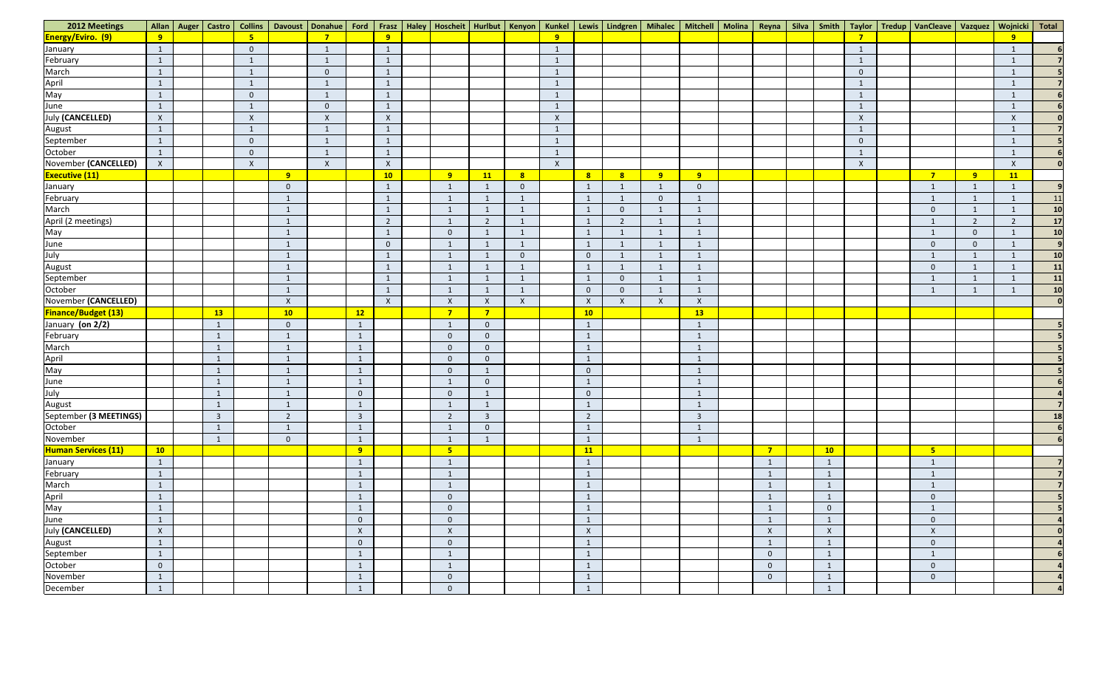| 2012 Meetings              |                | Allan Auger Castro | <b>Collins</b>            |                 | Davoust   Donahue   Ford   Frasz   Haley   Hoscheit   Hurlbut   Kenyon   Kunkel   Lewis   Lindgren   Mihalec   Mitchell   Molina |                |                           |                           |                         |                |                  |                  |                |              |                           | Reyna                     |                         |                           | Silva   Smith   Taylor   Tredup   VanCleave   Vazquez |                | Wojnicki Total   |                 |
|----------------------------|----------------|--------------------|---------------------------|-----------------|----------------------------------------------------------------------------------------------------------------------------------|----------------|---------------------------|---------------------------|-------------------------|----------------|------------------|------------------|----------------|--------------|---------------------------|---------------------------|-------------------------|---------------------------|-------------------------------------------------------|----------------|------------------|-----------------|
| <b>Energy/Eviro. (9)</b>   | 9              |                    | 5 <sub>o</sub>            |                 | 7                                                                                                                                |                | 9                         |                           |                         |                |                  |                  |                |              |                           |                           |                         |                           |                                                       |                | 9                |                 |
| January                    | $\mathbf{1}$   |                    | $\overline{0}$            |                 | $\mathbf 1$                                                                                                                      |                | $\mathbf{1}$              |                           |                         |                |                  |                  |                |              |                           |                           |                         |                           |                                                       |                |                  |                 |
| February                   | $\mathbf{1}$   |                    | $\mathbf{1}$              |                 | $\mathbf{1}$                                                                                                                     |                | $\mathbf{1}$              |                           |                         |                |                  |                  |                |              |                           |                           |                         |                           |                                                       |                |                  |                 |
| March                      | $\overline{1}$ |                    | $\mathbf{1}$              |                 | $\overline{0}$                                                                                                                   |                | $\mathbf{1}$              |                           |                         |                |                  |                  |                |              |                           |                           |                         | $\overline{0}$            |                                                       |                |                  |                 |
|                            | $\mathbf{1}$   |                    | $\mathbf{1}$              |                 | $\mathbf{1}$                                                                                                                     |                | $\mathbf{1}$              |                           |                         |                |                  |                  |                |              |                           |                           |                         |                           |                                                       |                | $\mathbf{1}$     |                 |
| April<br>May               | $\mathbf{1}$   |                    | $\overline{0}$            |                 |                                                                                                                                  |                | $\mathbf{1}$              |                           |                         |                |                  |                  |                |              |                           |                           |                         |                           |                                                       |                |                  |                 |
| June                       | $\mathbf{1}$   |                    | $\mathbf{1}$              |                 | $\overline{0}$                                                                                                                   |                | $\mathbf{1}$              |                           |                         |                |                  |                  |                |              |                           |                           |                         | - 1                       |                                                       |                | $\mathbf{1}$     |                 |
| <b>July (CANCELLED)</b>    | $\mathsf{X}$   |                    | $\boldsymbol{\mathsf{X}}$ |                 | $\lambda$                                                                                                                        |                | $\boldsymbol{\mathsf{X}}$ |                           |                         |                |                  |                  |                |              |                           |                           |                         | $\boldsymbol{\mathsf{X}}$ |                                                       |                | $\mathsf{X}$     |                 |
| August                     | $\overline{1}$ |                    | $\mathbf{1}$              |                 | -1                                                                                                                               |                | $\mathbf{1}$              |                           |                         |                |                  |                  |                |              |                           |                           |                         |                           |                                                       |                |                  |                 |
| September                  | $\mathbf{1}$   |                    | $\overline{0}$            |                 |                                                                                                                                  |                | $\mathbf{1}$              |                           |                         |                |                  |                  |                |              |                           |                           |                         | $\overline{0}$            |                                                       |                |                  |                 |
| October                    | $\mathbf{1}$   |                    | $\overline{0}$            |                 | $\mathbf{1}$                                                                                                                     |                | $\mathbf{1}$              |                           |                         |                |                  |                  |                |              |                           |                           |                         |                           |                                                       |                |                  |                 |
| November (CANCELLED)       | $\mathsf{X}$   |                    | $\mathsf{X}$              |                 | $\lambda$                                                                                                                        |                | $\mathsf{X}$              |                           |                         |                | $\boldsymbol{X}$ |                  |                |              |                           |                           |                         | $\mathsf{X}$              |                                                       |                | $\boldsymbol{X}$ |                 |
| <b>Executive (11)</b>      |                |                    |                           | 9               |                                                                                                                                  |                | 10                        | 9                         | <b>11</b>               | 8              |                  | 8                | 8              | 9            | 9 <sup>°</sup>            |                           |                         |                           | $\overline{7}$                                        | 9              | 11               |                 |
| January                    |                |                    |                           | $\overline{0}$  |                                                                                                                                  |                | $\mathbf{1}$              | $\overline{1}$            |                         | $\overline{0}$ |                  | $\mathbf{1}$     |                | $\mathbf{1}$ | $\overline{0}$            |                           |                         |                           | $\mathbf{1}$                                          | $\mathbf{1}$   |                  |                 |
| February                   |                |                    |                           |                 |                                                                                                                                  |                | $\mathbf{1}$              | -1                        |                         |                |                  | $\mathbf{1}$     |                | $\mathbf{0}$ |                           |                           |                         |                           | $\mathbf{1}$                                          | $\mathbf{1}$   |                  | 11              |
| March                      |                |                    |                           | $\overline{1}$  |                                                                                                                                  |                | $\mathbf{1}$              | $\overline{1}$            |                         |                |                  | $\mathbf{1}$     | $\overline{0}$ |              | $\mathbf{1}$              |                           |                         |                           | $\theta$                                              | $\mathbf{1}$   |                  | 10 <sup>1</sup> |
| April (2 meetings)         |                |                    |                           |                 |                                                                                                                                  |                | $\overline{2}$            |                           | $\overline{2}$          |                |                  | $\mathbf{1}$     | $\overline{2}$ |              |                           |                           |                         |                           |                                                       | $\overline{2}$ | $\mathcal{D}$    | 17              |
| May                        |                |                    |                           | -1              |                                                                                                                                  |                | $\mathbf{1}$              | $\Omega$                  |                         |                |                  | 1                |                |              | $\mathbf{1}$              |                           |                         |                           | 1                                                     | $\overline{0}$ |                  | 10              |
| June                       |                |                    |                           |                 |                                                                                                                                  |                | $\overline{0}$            |                           |                         |                |                  | $\mathbf{1}$     |                | $\mathbf{1}$ |                           |                           |                         |                           | $\overline{0}$                                        | $\overline{0}$ |                  |                 |
| July                       |                |                    |                           | -1              |                                                                                                                                  |                | $\mathbf{1}$              | $\mathbf{1}$              |                         | $\overline{0}$ |                  | $\overline{0}$   |                | $\mathbf{1}$ | $\overline{1}$            |                           |                         |                           | 1                                                     | $\mathbf{1}$   |                  | 10              |
| August                     |                |                    |                           |                 |                                                                                                                                  |                | $\mathbf{1}$              | $\mathbf{1}$              |                         |                |                  | $\mathbf{1}$     |                | $\mathbf{1}$ |                           |                           |                         |                           | $\overline{0}$                                        | $\mathbf{1}$   |                  | 11              |
| September                  |                |                    |                           | -1              |                                                                                                                                  |                | $\mathbf{1}$              | -1                        |                         |                |                  | $\mathbf{1}$     | $\overline{0}$ | $\mathbf{1}$ | $\mathbf 1$               |                           |                         |                           | $\mathbf{1}$                                          | $\mathbf{1}$   |                  | 11              |
| October                    |                |                    |                           | $\mathbf{1}$    |                                                                                                                                  |                | $\mathbf{1}$              | $\mathbf{1}$              | $\overline{1}$          | $\mathbf{1}$   |                  | $\overline{0}$   | $\overline{0}$ | $\mathbf{1}$ | $\mathbf{1}$              |                           |                         |                           | $\mathbf{1}$                                          | $\mathbf{1}$   |                  | 10              |
| November (CANCELLED)       |                |                    |                           | $\mathsf{X}$    |                                                                                                                                  |                | $\mathsf{X}$              | $\boldsymbol{\mathsf{X}}$ | $\mathsf{X}$            | $\mathsf{X}$   |                  | $\boldsymbol{X}$ | $\mathsf{X}$   | $\mathsf{X}$ | $\boldsymbol{\mathsf{X}}$ |                           |                         |                           |                                                       |                |                  |                 |
| <b>Finance/Budget (13)</b> |                | 13                 |                           | 10 <sub>1</sub> |                                                                                                                                  | 12             |                           | $\overline{7}$            | $\overline{7}$          |                |                  | 10               |                |              | 13                        |                           |                         |                           |                                                       |                |                  |                 |
| January (on 2/2)           |                | $\mathbf{1}$       |                           | $\overline{0}$  |                                                                                                                                  | $\mathbf{1}$   |                           | $\mathbf{1}$              | $\overline{0}$          |                |                  | $\mathbf{1}$     |                |              | $\mathbf{1}$              |                           |                         |                           |                                                       |                |                  |                 |
| February                   |                | $\mathbf{1}$       |                           | $\overline{1}$  |                                                                                                                                  | $\mathbf{1}$   |                           | $\Omega$                  | $\mathbf 0$             |                |                  | $\mathbf{1}$     |                |              | $\mathbf{1}$              |                           |                         |                           |                                                       |                |                  |                 |
| March                      |                | $\mathbf 1$        |                           |                 |                                                                                                                                  | $\mathbf{1}$   |                           | $\overline{0}$            | $\mathbf 0$             |                |                  | $\mathbf{1}$     |                |              | $\mathbf{1}$              |                           |                         |                           |                                                       |                |                  |                 |
| April<br>May<br>June       |                | $\mathbf{1}$       |                           | $\mathbf{1}$    |                                                                                                                                  | $\mathbf{1}$   |                           | $\overline{0}$            | $\mathbf 0$             |                |                  | $\mathbf{1}$     |                |              | $\mathbf{1}$              |                           |                         |                           |                                                       |                |                  |                 |
|                            |                | $\mathbf{1}$       |                           |                 |                                                                                                                                  | $\mathbf{1}$   |                           | $\mathbf 0$               |                         |                |                  | $\overline{0}$   |                |              | -1                        |                           |                         |                           |                                                       |                |                  |                 |
|                            |                | 1                  |                           | $\overline{1}$  |                                                                                                                                  | $\mathbf{1}$   |                           | $\mathbf{1}$              | $\overline{0}$          |                |                  | $\mathbf{1}$     |                |              | $\mathbf{1}$              |                           |                         |                           |                                                       |                |                  |                 |
| July                       |                | $\overline{1}$     |                           |                 |                                                                                                                                  | $\overline{0}$ |                           | $\Omega$                  |                         |                |                  | $\overline{0}$   |                |              | $\overline{1}$            |                           |                         |                           |                                                       |                |                  |                 |
| August                     |                | 1                  |                           | $\overline{1}$  |                                                                                                                                  | $\mathbf{1}$   |                           | $\mathbf{1}$              |                         |                |                  | $\mathbf{1}$     |                |              | $\mathbf{1}$              |                           |                         |                           |                                                       |                |                  |                 |
| September (3 MEETINGS)     |                | $\overline{3}$     |                           | $\overline{2}$  |                                                                                                                                  | $\overline{3}$ |                           | $\overline{2}$            | $\overline{\mathbf{3}}$ |                |                  | $\overline{2}$   |                |              | $\mathbf{3}$              |                           |                         |                           |                                                       |                |                  | 18              |
| October                    |                | $\mathbf{1}$       |                           |                 |                                                                                                                                  | $\mathbf{1}$   |                           | $\mathbf 1$               | $\mathbf 0$             |                |                  | $\mathbf{1}$     |                |              | $\mathbf 1$               |                           |                         |                           |                                                       |                |                  |                 |
| November                   |                | 1                  |                           | $\mathbf{0}$    |                                                                                                                                  | $\mathbf{1}$   |                           | $\mathbf{1}$              |                         |                |                  | $\mathbf{1}$     |                |              | $\mathbf{1}$              |                           |                         |                           |                                                       |                |                  |                 |
| Human Services (11)        | 10             |                    |                           |                 |                                                                                                                                  | 9              |                           | $5\overline{5}$           |                         |                |                  | 11               |                |              |                           | $\overline{7}$            | 10                      |                           | 5 <sub>o</sub>                                        |                |                  |                 |
| January<br>February        | $\mathbf{1}$   |                    |                           |                 |                                                                                                                                  | $\mathbf{1}$   |                           | $\mathbf{1}$              |                         |                |                  | $\mathbf{1}$     |                |              |                           | $\overline{1}$            |                         |                           | $\mathbf{1}$                                          |                |                  |                 |
|                            | $\mathbf{1}$   |                    |                           |                 |                                                                                                                                  | $\mathbf{1}$   |                           | $\mathbf 1$               |                         |                |                  | $\mathbf{1}$     |                |              |                           | $\mathbf{1}$              |                         |                           | $\mathbf{1}$                                          |                |                  |                 |
| March                      | $\mathbf{1}$   |                    |                           |                 |                                                                                                                                  | $\mathbf{1}$   |                           | $\mathbf{1}$              |                         |                |                  | $\mathbf{1}$     |                |              |                           | $\mathbf{1}$              | $\overline{1}$          |                           | $\mathbf{1}$                                          |                |                  |                 |
| April                      | $\overline{1}$ |                    |                           |                 |                                                                                                                                  | $\mathbf{1}$   |                           | $\mathbf 0$               |                         |                |                  | $\mathbf{1}$     |                |              |                           | $\mathbf{1}$              |                         |                           | $\overline{0}$                                        |                |                  |                 |
| May                        | $\mathbf{1}$   |                    |                           |                 |                                                                                                                                  | $\mathbf{1}$   |                           | $\mathbf{0}$              |                         |                |                  | $\mathbf{1}$     |                |              |                           | $\mathbf{1}$              | $\overline{0}$          |                           | $\mathbf{1}$                                          |                |                  |                 |
| $\frac{1}{\text{June}}$    | $\mathbf{1}$   |                    |                           |                 |                                                                                                                                  | $\overline{0}$ |                           | $\mathbf 0$               |                         |                |                  | $\mathbf{1}$     |                |              |                           | $\mathbf{1}$              |                         |                           | $\mathbf{0}$                                          |                |                  |                 |
| <b>July (CANCELLED)</b>    | $\mathsf{X}$   |                    |                           |                 |                                                                                                                                  | $\mathsf{X}$   |                           | $\mathsf{X}$              |                         |                |                  | X                |                |              |                           | $\boldsymbol{\mathsf{X}}$ | $\mathsf{X}$            |                           | $\boldsymbol{X}$                                      |                |                  |                 |
| August                     | $\overline{1}$ |                    |                           |                 |                                                                                                                                  | $\overline{0}$ |                           | $\overline{0}$            |                         |                |                  | $\mathbf{1}$     |                |              |                           | $\mathbf{1}$              |                         |                           | $\theta$                                              |                |                  |                 |
| September                  | $\mathbf{1}$   |                    |                           |                 |                                                                                                                                  | $\mathbf{1}$   |                           | $\mathbf{1}$              |                         |                |                  | $\mathbf{1}$     |                |              |                           | $\overline{0}$            | $\mathbf{1}$            |                           | $\mathbf{1}$                                          |                |                  |                 |
| October                    | $\overline{0}$ |                    |                           |                 |                                                                                                                                  | $\mathbf{1}$   |                           | $\mathbf{1}$              |                         |                |                  | $\mathbf{1}$     |                |              |                           | $\overline{0}$            |                         |                           | $\theta$                                              |                |                  |                 |
| November                   | $\mathbf{1}$   |                    |                           |                 |                                                                                                                                  | $\mathbf{1}$   |                           | $\overline{0}$            |                         |                |                  | $\mathbf{1}$     |                |              |                           | $\overline{0}$            | $\mathbf{1}$            |                           | $\mathbf{0}$                                          |                |                  |                 |
| December                   | $\mathbf{1}$   |                    |                           |                 |                                                                                                                                  | $\mathbf{1}$   |                           | $\overline{0}$            |                         |                |                  | $\mathbf{1}$     |                |              |                           |                           | $\overline{\mathbf{1}}$ |                           |                                                       |                |                  |                 |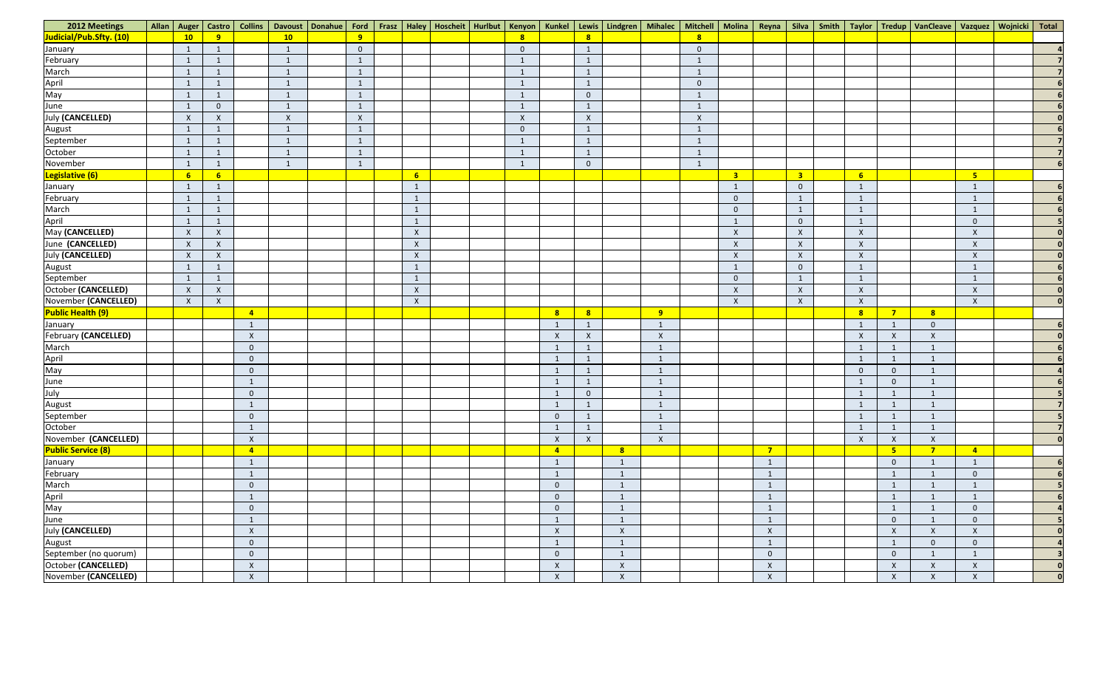| 2012 Meetings                                                           |                  |                           |                  |                           |                |                |  |                |                           |                  |                           |                |                |                         |                    |                         |              |                | Allan   Auger   Castro   Collins   Davoust   Donahue   Ford   Frasz   Haley   Hoscheit   Hurlbut   Kenyon   Kunkel   Lewis   Lindgren   Mihalec   Mitchell   Molina   Reyna   Silva   Smith   Taylor   Tredup   VanCleave   Va |                |          |
|-------------------------------------------------------------------------|------------------|---------------------------|------------------|---------------------------|----------------|----------------|--|----------------|---------------------------|------------------|---------------------------|----------------|----------------|-------------------------|--------------------|-------------------------|--------------|----------------|--------------------------------------------------------------------------------------------------------------------------------------------------------------------------------------------------------------------------------|----------------|----------|
| Judicial/Pub.Sfty. (10)                                                 | 10               | 9                         |                  | 10 <sub>1</sub>           | 9              |                |  | 8              |                           | 8                |                           |                | 8 <sup>2</sup> |                         |                    |                         |              |                |                                                                                                                                                                                                                                |                |          |
| January                                                                 | - 1              | - 1                       |                  | $\overline{1}$            | $\overline{0}$ |                |  | $\overline{0}$ |                           | 1                |                           |                | $\mathbf{0}$   |                         |                    |                         |              |                |                                                                                                                                                                                                                                |                |          |
| February                                                                | $\overline{1}$   | $\mathbf{1}$              |                  | 1                         | $\mathbf{1}$   |                |  | $\mathbf{1}$   |                           | $\mathbf{1}$     |                           |                | $\mathbf{1}$   |                         |                    |                         |              |                |                                                                                                                                                                                                                                |                |          |
| March                                                                   |                  |                           |                  | $\overline{1}$            | $\mathbf{1}$   |                |  | $\overline{1}$ |                           | $\mathbf{1}$     |                           |                | $\mathbf{1}$   |                         |                    |                         |              |                |                                                                                                                                                                                                                                |                |          |
| April<br>May                                                            | $\mathbf{1}$     | -1                        |                  | $\mathbf{1}$              | $\mathbf{1}$   |                |  | $\mathbf{1}$   |                           | $\mathbf{1}$     |                           |                | $\overline{0}$ |                         |                    |                         |              |                |                                                                                                                                                                                                                                |                |          |
|                                                                         |                  | - 1                       |                  | -1                        | $\mathbf{1}$   |                |  | $\mathbf{1}$   |                           | $\overline{0}$   |                           |                | -1             |                         |                    |                         |              |                |                                                                                                                                                                                                                                |                |          |
| June                                                                    | $\mathbf{1}$     | $\overline{0}$            |                  | $\mathbf{1}$              | $\mathbf{1}$   |                |  | $\mathbf{1}$   |                           | $\mathbf{1}$     |                           |                | $\mathbf{1}$   |                         |                    |                         |              |                |                                                                                                                                                                                                                                |                |          |
| <b>July (CANCELLED)</b>                                                 | $\boldsymbol{X}$ | $\lambda$                 |                  | $\boldsymbol{\mathsf{X}}$ | $\mathsf{X}$   |                |  | $\mathsf{X}$   |                           | $\boldsymbol{X}$ |                           |                | $\mathsf{X}$   |                         |                    |                         |              |                |                                                                                                                                                                                                                                |                |          |
| August<br>September                                                     | $\sqrt{1}$       | $\mathbf{1}$              |                  | -1                        | $\mathbf{1}$   |                |  | $\overline{0}$ |                           | $\mathbf{1}$     |                           |                | $\mathbf{1}$   |                         |                    |                         |              |                |                                                                                                                                                                                                                                |                |          |
|                                                                         |                  | - 1                       |                  | 1                         | $\mathbf{1}$   |                |  | $\mathbf{1}$   |                           | $\mathbf{1}$     |                           |                | $\mathbf{1}$   |                         |                    |                         |              |                |                                                                                                                                                                                                                                |                |          |
| October                                                                 | $\mathbf{1}$     | - 1                       |                  | $\mathbf{1}$              | $\mathbf{1}$   |                |  | $\overline{1}$ |                           | $\mathbf{1}$     |                           |                | $\mathbf{1}$   |                         |                    |                         |              |                |                                                                                                                                                                                                                                |                |          |
| November                                                                | - 1              | $\mathbf{1}$              |                  | 1                         | $\mathbf{1}$   |                |  | -1             |                           | $\overline{0}$   |                           |                | $\mathbf{1}$   |                         |                    |                         |              |                |                                                                                                                                                                                                                                |                |          |
| Legislative (6)                                                         | 6                | 6                         |                  |                           |                | 6 <sup>1</sup> |  |                |                           |                  |                           |                |                | $\overline{\mathbf{3}}$ |                    | $\overline{\mathbf{3}}$ | 6            |                |                                                                                                                                                                                                                                | 5 <sub>o</sub> |          |
| January                                                                 | $\mathbf{1}$     | -1                        |                  |                           |                | $\mathbf{1}$   |  |                |                           |                  |                           |                |                | $\overline{1}$          |                    | $\overline{0}$          |              |                |                                                                                                                                                                                                                                | $\mathbf{1}$   |          |
| February                                                                | $\mathbf{1}$     | $\mathbf{1}$              |                  |                           |                | $\mathbf{1}$   |  |                |                           |                  |                           |                |                | $\overline{0}$          |                    | $\mathbf{1}$            |              |                |                                                                                                                                                                                                                                | $\mathbf{1}$   |          |
| March                                                                   |                  | -1                        |                  |                           |                | $\mathbf{1}$   |  |                |                           |                  |                           |                |                | $\overline{0}$          |                    | $\mathbf{1}$            |              |                |                                                                                                                                                                                                                                | $\mathbf{1}$   |          |
| April<br>May (CANCELLED)                                                |                  |                           |                  |                           |                | $\mathbf{1}$   |  |                |                           |                  |                           |                |                |                         |                    | $\overline{0}$          |              |                |                                                                                                                                                                                                                                | $\overline{0}$ |          |
|                                                                         | $\mathsf{X}$     | $\mathsf{X}$              |                  |                           |                | $\mathsf{X}$   |  |                |                           |                  |                           |                |                | $\mathsf{X}$            |                    | $\boldsymbol{X}$        | $\mathsf{X}$ |                |                                                                                                                                                                                                                                | X              |          |
| June (CANCELLED)                                                        | $\boldsymbol{X}$ | $\mathsf{X}$              |                  |                           |                | $\mathsf{X}$   |  |                |                           |                  |                           |                |                | $\mathsf{X}$            |                    | $\mathsf{X}$            | $\mathsf{X}$ |                |                                                                                                                                                                                                                                | $\mathsf{X}$   |          |
| <b>July (CANCELLED)</b>                                                 | $\mathsf{X}$     | $\boldsymbol{\mathsf{X}}$ |                  |                           |                | $\mathsf X$    |  |                |                           |                  |                           |                |                | $\mathsf{X}$            |                    | $\boldsymbol{X}$        | $\mathsf{X}$ |                |                                                                                                                                                                                                                                | X              |          |
| August<br>September                                                     |                  | 1                         |                  |                           |                | $\mathbf{1}$   |  |                |                           |                  |                           |                |                | $\mathbf{1}$            |                    | $\overline{0}$          |              |                |                                                                                                                                                                                                                                | $\mathbf{1}$   |          |
|                                                                         | $\overline{1}$   | $\mathbf{1}$              |                  |                           |                | $\mathbf{1}$   |  |                |                           |                  |                           |                |                | $\overline{0}$          |                    | $\mathbf{1}$            |              |                |                                                                                                                                                                                                                                | $\mathbf{1}$   |          |
| October (CANCELLED)                                                     | $\mathsf{X}$     | X                         |                  |                           |                | $\mathsf{X}$   |  |                |                           |                  |                           |                |                | $\mathsf{X}$            |                    | $\boldsymbol{X}$        | $\mathsf{X}$ |                |                                                                                                                                                                                                                                | $\mathsf{X}$   |          |
| November (CANCELLED)                                                    | $\mathsf{X}$     | $\mathsf{X}$              |                  |                           |                | $\mathsf{X}$   |  |                |                           |                  |                           |                |                | $\mathsf{X}$            |                    | $\boldsymbol{X}$        | $\mathsf{X}$ |                |                                                                                                                                                                                                                                | $\mathsf{X}$   |          |
| <b>Public Health (9)</b>                                                |                  |                           | $\overline{4}$   |                           |                |                |  |                | $\mathbf{8}$              | 8                |                           | 9 <sup>°</sup> |                |                         |                    |                         | 8            | $\overline{7}$ | 8                                                                                                                                                                                                                              |                |          |
| January                                                                 |                  |                           | $\mathbf{1}$     |                           |                |                |  |                |                           | $\mathbf{1}$     |                           | $\mathbf{1}$   |                |                         |                    |                         |              | $\mathbf{1}$   | $\Omega$                                                                                                                                                                                                                       |                |          |
| February (CANCELLED)                                                    |                  |                           | $\mathsf{X}$     |                           |                |                |  |                | $\boldsymbol{\mathsf{X}}$ | $\boldsymbol{X}$ |                           | $\mathsf{X}$   |                |                         |                    |                         | $\mathsf{X}$ | $\mathsf{X}$   | $\boldsymbol{\mathsf{X}}$                                                                                                                                                                                                      |                |          |
|                                                                         |                  |                           | $\mathbf{0}$     |                           |                |                |  |                |                           | $\mathbf{1}$     |                           | $\mathbf{1}$   |                |                         |                    |                         |              | $\mathbf{1}$   |                                                                                                                                                                                                                                |                |          |
| March<br>April<br>May<br>June<br>July<br>August<br>September<br>October |                  |                           | $\overline{0}$   |                           |                |                |  |                |                           | $\mathbf{1}$     |                           | $\mathbf{1}$   |                |                         |                    |                         |              | $\mathbf{1}$   | $\overline{1}$                                                                                                                                                                                                                 |                |          |
|                                                                         |                  |                           | $\overline{0}$   |                           |                |                |  |                |                           | $\mathbf{1}$     |                           | $\overline{1}$ |                |                         |                    |                         | $\mathbf{0}$ | $\overline{0}$ | $\overline{1}$                                                                                                                                                                                                                 |                |          |
|                                                                         |                  |                           | $\mathbf{1}$     |                           |                |                |  |                |                           | 1                |                           | $\mathbf{1}$   |                |                         |                    |                         |              | $\mathbf{0}$   | 1                                                                                                                                                                                                                              |                |          |
|                                                                         |                  |                           | $\overline{0}$   |                           |                |                |  |                |                           | $\mathbf{0}$     |                           | $\overline{1}$ |                |                         |                    |                         |              |                | $\overline{1}$                                                                                                                                                                                                                 |                |          |
|                                                                         |                  |                           | $\mathbf{1}$     |                           |                |                |  |                |                           | $\mathbf{1}$     |                           | $\mathbf{1}$   |                |                         |                    |                         |              | $\overline{1}$ | $\mathbf{1}$                                                                                                                                                                                                                   |                |          |
|                                                                         |                  |                           | $\overline{0}$   |                           |                |                |  |                | $\overline{0}$            | $\overline{1}$   |                           | $\overline{1}$ |                |                         |                    |                         |              | $\mathbf{1}$   | $\overline{1}$                                                                                                                                                                                                                 |                |          |
|                                                                         |                  |                           | $\mathbf{1}$     |                           |                |                |  |                |                           | 1                |                           | $\overline{1}$ |                |                         |                    |                         |              | $\overline{1}$ | 1                                                                                                                                                                                                                              |                |          |
| November (CANCELLED)                                                    |                  |                           | $\mathsf{X}$     |                           |                |                |  |                | $\boldsymbol{X}$          | $\boldsymbol{X}$ |                           | $\mathsf{X}$   |                |                         |                    |                         | $\mathsf{X}$ | $\mathsf{X}$   | $\boldsymbol{\mathsf{X}}$                                                                                                                                                                                                      |                | $\Omega$ |
| <b>Public Service (8)</b>                                               |                  |                           | $\overline{4}$   |                           |                |                |  |                | $\mathbf{A}$              |                  | 8                         |                |                |                         | $\overline{7}$     |                         |              | 5 <sub>o</sub> | $\overline{7}$                                                                                                                                                                                                                 | $\overline{4}$ |          |
| January<br>February                                                     |                  |                           | $\mathbf{1}$     |                           |                |                |  |                |                           |                  |                           |                |                |                         | $\mathbf{1}$       |                         |              | $\overline{0}$ | $\mathbf{1}$                                                                                                                                                                                                                   | $\mathbf{1}$   |          |
|                                                                         |                  |                           | $\mathbf{1}$     |                           |                |                |  |                |                           |                  |                           |                |                |                         | $\mathbf{1}$       |                         |              | $\mathbf{1}$   | 1                                                                                                                                                                                                                              | $\overline{0}$ |          |
| March                                                                   |                  |                           | $\overline{0}$   |                           |                |                |  |                | $\Omega$                  |                  | $\blacksquare$            |                |                |                         | $\mathbf{1}$       |                         |              | $\mathbf{1}$   | $\mathbf{1}$                                                                                                                                                                                                                   | $\mathbf{1}$   |          |
|                                                                         |                  |                           | $\mathbf{1}$     |                           |                |                |  |                | $\Omega$                  |                  | $\tilde{ }$               |                |                |                         | $\mathbf{1}$       |                         |              | $\mathbf{1}$   | $\mathbf{1}$                                                                                                                                                                                                                   | $\mathbf{1}$   |          |
| April<br>May<br>June                                                    |                  |                           | $\overline{0}$   |                           |                |                |  |                | $\overline{0}$            |                  | $\mathbf{1}$              |                |                |                         | $\mathbf{1}$       |                         |              | $\mathbf{1}$   | $\mathbf{1}$                                                                                                                                                                                                                   | $\overline{0}$ |          |
|                                                                         |                  |                           | $\mathbf{1}$     |                           |                |                |  |                |                           |                  | $\tilde{ }$               |                |                |                         | $\mathbf{1}$       |                         |              | $\overline{0}$ | $\mathbf{1}$                                                                                                                                                                                                                   | $\overline{0}$ |          |
| <b>July (CANCELLED)</b>                                                 |                  |                           | $\boldsymbol{X}$ |                           |                |                |  |                | $\boldsymbol{X}$          |                  | $\boldsymbol{\mathsf{X}}$ |                |                |                         | $\boldsymbol{X}$   |                         |              | $\mathsf{X}$   | $\boldsymbol{X}$                                                                                                                                                                                                               | $\mathsf{X}$   |          |
| August                                                                  |                  |                           | $\overline{0}$   |                           |                |                |  |                |                           |                  |                           |                |                |                         | $\mathbf{1}$       |                         |              | $\mathbf{1}$   | $\theta$                                                                                                                                                                                                                       | $\overline{0}$ |          |
| September (no quorum)                                                   |                  |                           | $\overline{0}$   |                           |                |                |  |                | $\overline{0}$            |                  | $\lceil$                  |                |                |                         | $\overline{0}$     |                         |              | $\overline{0}$ | $\mathbf{1}$                                                                                                                                                                                                                   | $\mathbf{1}$   |          |
| October (CANCELLED)                                                     |                  |                           | $\pmb{\times}$   |                           |                |                |  |                | $\boldsymbol{\mathsf{X}}$ |                  | $\boldsymbol{\mathsf{X}}$ |                |                |                         | $\pmb{\mathsf{X}}$ |                         |              | $\mathsf{X}$   | $\boldsymbol{\mathsf{X}}$                                                                                                                                                                                                      | $\mathsf{X}$   |          |
| November (CANCELLED)                                                    |                  |                           | $\mathsf{X}$     |                           |                |                |  |                | $\boldsymbol{\mathsf{X}}$ |                  | $\boldsymbol{\mathsf{X}}$ |                |                |                         | $\mathsf{X}$       |                         |              | $\mathsf{X}$   | $\boldsymbol{X}$                                                                                                                                                                                                               | $\mathsf{X}$   | $\Omega$ |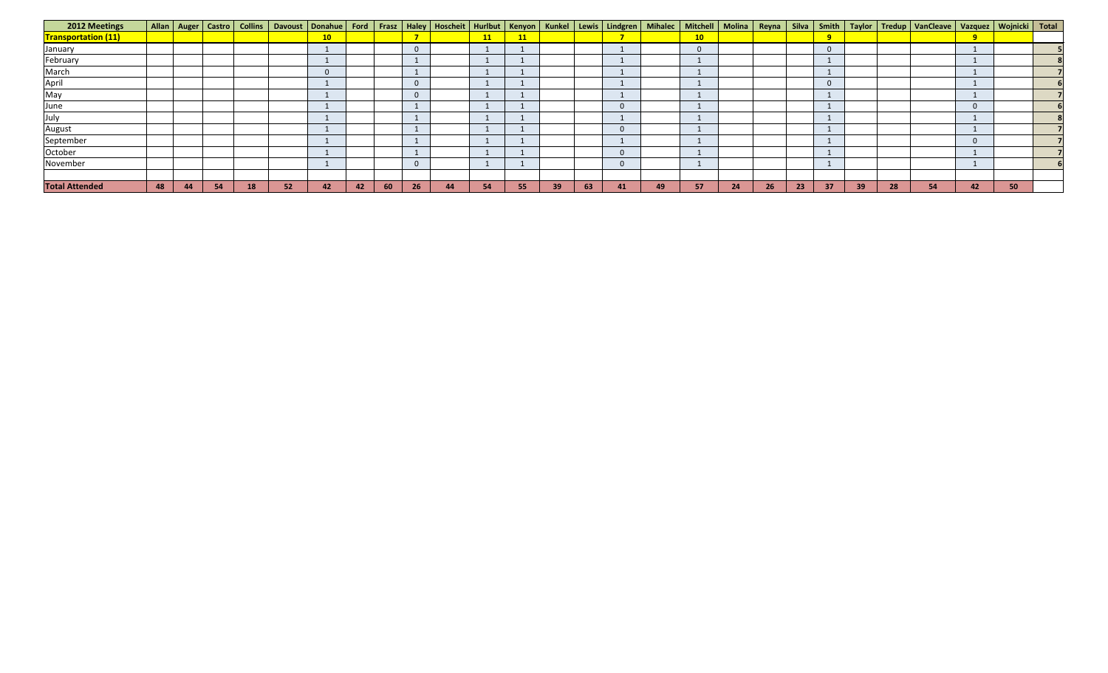| <b>2012 Meetings</b>       |    |    |           |    |    |                 |    |    |                |    |    |    |    |    |    |    |          |    |    |    |    |    |    | Allan   Auger   Castro   Collins   Davoust   Donahue   Ford   Frasz   Haley   Hoscheit   Hurlbut   Kenyon   Kunkel   Lewis   Lindgren   Mihalec   Mitchell   Molina   Reyna   Silva   Smith   Taylor   Tredup   VanCleave   Va |          |    |  |
|----------------------------|----|----|-----------|----|----|-----------------|----|----|----------------|----|----|----|----|----|----|----|----------|----|----|----|----|----|----|--------------------------------------------------------------------------------------------------------------------------------------------------------------------------------------------------------------------------------|----------|----|--|
| <b>Transportation (11)</b> |    |    |           |    |    | 10 <sub>1</sub> |    |    |                |    | 11 | 11 |    |    |    |    | 10       |    |    |    |    |    |    |                                                                                                                                                                                                                                | 9        |    |  |
| January                    |    |    |           |    |    |                 |    |    | $\overline{0}$ |    |    |    |    |    |    |    | $\Omega$ |    |    |    |    |    |    |                                                                                                                                                                                                                                |          |    |  |
| February                   |    |    |           |    |    |                 |    |    |                |    |    |    |    |    |    |    |          |    |    |    |    |    |    |                                                                                                                                                                                                                                |          |    |  |
| March                      |    |    |           |    |    |                 |    |    |                |    |    |    |    |    |    |    |          |    |    |    |    |    |    |                                                                                                                                                                                                                                |          |    |  |
| April                      |    |    |           |    |    |                 |    |    | -0             |    |    |    |    |    |    |    |          |    |    |    |    |    |    |                                                                                                                                                                                                                                |          |    |  |
| May                        |    |    |           |    |    |                 |    |    | $\Omega$       |    |    |    |    |    |    |    |          |    |    |    |    |    |    |                                                                                                                                                                                                                                |          |    |  |
| June                       |    |    |           |    |    |                 |    |    |                |    |    |    |    |    |    |    |          |    |    |    |    |    |    |                                                                                                                                                                                                                                | $\Omega$ |    |  |
| July                       |    |    |           |    |    |                 |    |    |                |    |    |    |    |    |    |    |          |    |    |    |    |    |    |                                                                                                                                                                                                                                |          |    |  |
| <b>August</b>              |    |    |           |    |    |                 |    |    |                |    |    |    |    |    |    |    |          |    |    |    |    |    |    |                                                                                                                                                                                                                                |          |    |  |
| September                  |    |    |           |    |    |                 |    |    |                |    |    |    |    |    |    |    |          |    |    |    |    |    |    |                                                                                                                                                                                                                                | $\Omega$ |    |  |
| October                    |    |    |           |    |    |                 |    |    |                |    |    |    |    |    |    |    |          |    |    |    |    |    |    |                                                                                                                                                                                                                                |          |    |  |
| November                   |    |    |           |    |    |                 |    |    | $\overline{0}$ |    |    |    |    |    |    |    |          |    |    |    |    |    |    |                                                                                                                                                                                                                                |          |    |  |
|                            |    |    |           |    |    |                 |    |    |                |    |    |    |    |    |    |    |          |    |    |    |    |    |    |                                                                                                                                                                                                                                |          |    |  |
| <b>Total Attended</b>      | 48 | 44 | <b>54</b> | 18 | 52 | 42              | 42 | 60 | 26             | 44 | 54 | 55 | 39 | 63 | 41 | 49 | 57       | 24 | 26 | 23 | 37 | 39 | 28 | 54                                                                                                                                                                                                                             | 42       | 50 |  |